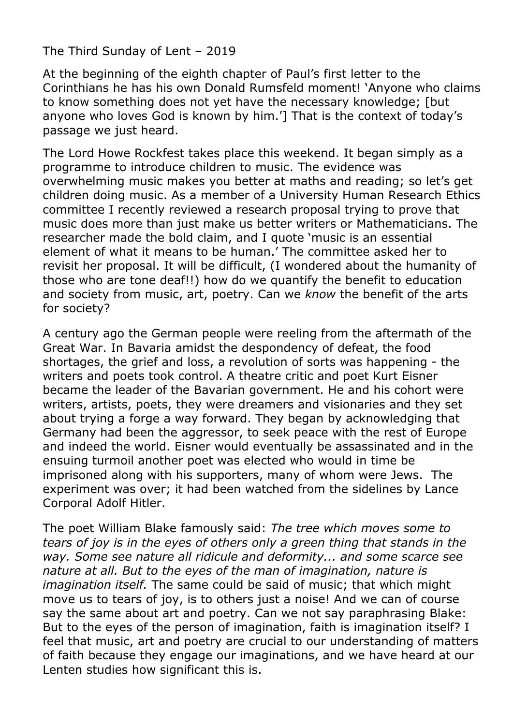The Third Sunday of Lent – 2019

At the beginning of the eighth chapter of Paul's first letter to the Corinthians he has his own Donald Rumsfeld moment! 'Anyone who claims to know something does not yet have the necessary knowledge; [but anyone who loves God is known by him.'] That is the context of today's passage we just heard.

The Lord Howe Rockfest takes place this weekend. It began simply as a programme to introduce children to music. The evidence was overwhelming music makes you better at maths and reading; so let's get children doing music. As a member of a University Human Research Ethics committee I recently reviewed a research proposal trying to prove that music does more than just make us better writers or Mathematicians. The researcher made the bold claim, and I quote 'music is an essential element of what it means to be human.' The committee asked her to revisit her proposal. It will be difficult, (I wondered about the humanity of those who are tone deaf!!) how do we quantify the benefit to education and society from music, art, poetry. Can we *know* the benefit of the arts for society?

A century ago the German people were reeling from the aftermath of the Great War. In Bavaria amidst the despondency of defeat, the food shortages, the grief and loss, a revolution of sorts was happening - the writers and poets took control. A theatre critic and poet Kurt Eisner became the leader of the Bavarian government. He and his cohort were writers, artists, poets, they were dreamers and visionaries and they set about trying a forge a way forward. They began by acknowledging that Germany had been the aggressor, to seek peace with the rest of Europe and indeed the world. Eisner would eventually be assassinated and in the ensuing turmoil another poet was elected who would in time be imprisoned along with his supporters, many of whom were Jews. The experiment was over; it had been watched from the sidelines by Lance Corporal Adolf Hitler.

The poet William Blake famously said: *The tree which moves some to tears of joy is in the eyes of others only a green thing that stands in the way. Some see nature all ridicule and deformity... and some scarce see nature at all. But to the eyes of the man of imagination, nature is imagination itself.* The same could be said of music; that which might move us to tears of joy, is to others just a noise! And we can of course say the same about art and poetry. Can we not say paraphrasing Blake: But to the eyes of the person of imagination, faith is imagination itself? I feel that music, art and poetry are crucial to our understanding of matters of faith because they engage our imaginations, and we have heard at our Lenten studies how significant this is.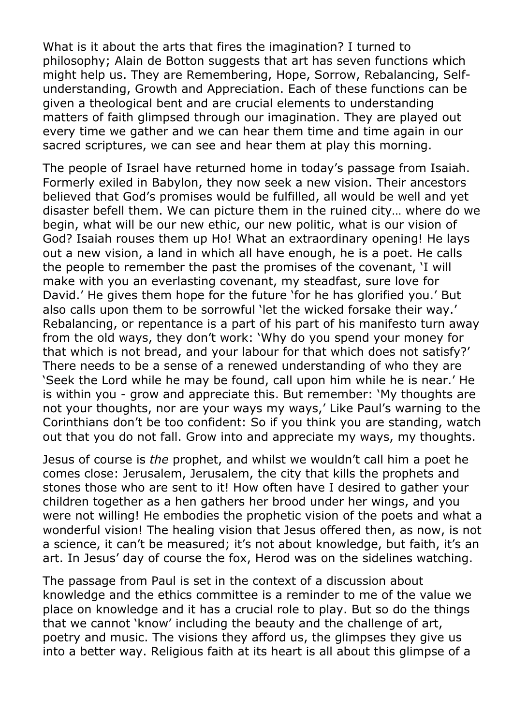What is it about the arts that fires the imagination? I turned to philosophy; Alain de Botton suggests that art has seven functions which might help us. They are Remembering, Hope, Sorrow, Rebalancing, Selfunderstanding, Growth and Appreciation. Each of these functions can be given a theological bent and are crucial elements to understanding matters of faith glimpsed through our imagination. They are played out every time we gather and we can hear them time and time again in our sacred scriptures, we can see and hear them at play this morning.

The people of Israel have returned home in today's passage from Isaiah. Formerly exiled in Babylon, they now seek a new vision. Their ancestors believed that God's promises would be fulfilled, all would be well and yet disaster befell them. We can picture them in the ruined city… where do we begin, what will be our new ethic, our new politic, what is our vision of God? Isaiah rouses them up Ho! What an extraordinary opening! He lays out a new vision, a land in which all have enough, he is a poet. He calls the people to remember the past the promises of the covenant, 'I will make with you an everlasting covenant, my steadfast, sure love for David.' He gives them hope for the future 'for he has glorified you.' But also calls upon them to be sorrowful 'let the wicked forsake their way.' Rebalancing, or repentance is a part of his part of his manifesto turn away from the old ways, they don't work: 'Why do you spend your money for that which is not bread, and your labour for that which does not satisfy?' There needs to be a sense of a renewed understanding of who they are 'Seek the Lord while he may be found, call upon him while he is near.' He is within you - grow and appreciate this. But remember: 'My thoughts are not your thoughts, nor are your ways my ways,' Like Paul's warning to the Corinthians don't be too confident: So if you think you are standing, watch out that you do not fall. Grow into and appreciate my ways, my thoughts.

Jesus of course is *the* prophet, and whilst we wouldn't call him a poet he comes close: Jerusalem, Jerusalem, the city that kills the prophets and stones those who are sent to it! How often have I desired to gather your children together as a hen gathers her brood under her wings, and you were not willing! He embodies the prophetic vision of the poets and what a wonderful vision! The healing vision that Jesus offered then, as now, is not a science, it can't be measured; it's not about knowledge, but faith, it's an art. In Jesus' day of course the fox, Herod was on the sidelines watching.

The passage from Paul is set in the context of a discussion about knowledge and the ethics committee is a reminder to me of the value we place on knowledge and it has a crucial role to play. But so do the things that we cannot 'know' including the beauty and the challenge of art, poetry and music. The visions they afford us, the glimpses they give us into a better way. Religious faith at its heart is all about this glimpse of a